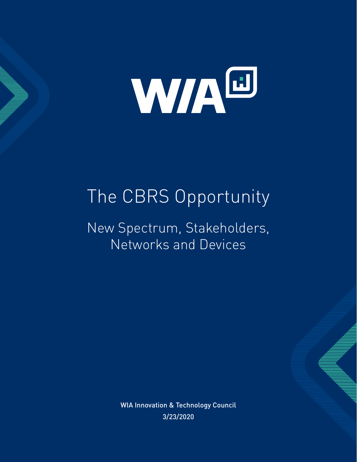

# The CBRS Opportunity

New Spectrum, Stakeholders, Networks and Devices

> WIA Innovation & Technology Council 3/23/2020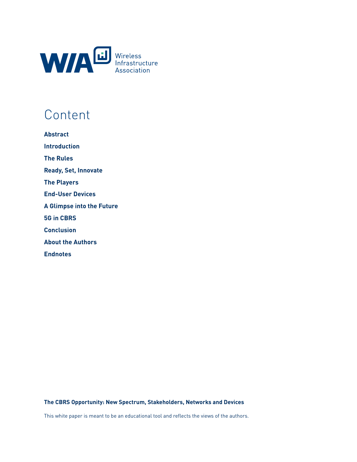

## **Content**

| <b>Abstract</b>                  |
|----------------------------------|
| <b>Introduction</b>              |
| <b>The Rules</b>                 |
| <b>Ready, Set, Innovate</b>      |
| <b>The Players</b>               |
| <b>End-User Devices</b>          |
| <b>A Glimpse into the Future</b> |
| <b>5G in CBRS</b>                |
| <b>Conclusion</b>                |
| <b>About the Authors</b>         |
| <b>Endnotes</b>                  |

**The CBRS Opportunity: New Spectrum, Stakeholders, Networks and Devices** 

This white paper is meant to be an educational tool and reflects the views of the authors.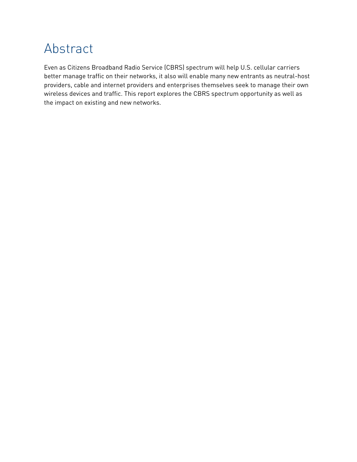### Abstract

Even as Citizens Broadband Radio Service (CBRS) spectrum will help U.S. cellular carriers better manage traffic on their networks, it also will enable many new entrants as neutral-host providers, cable and internet providers and enterprises themselves seek to manage their own wireless devices and traffic. This report explores the CBRS spectrum opportunity as well as the impact on existing and new networks.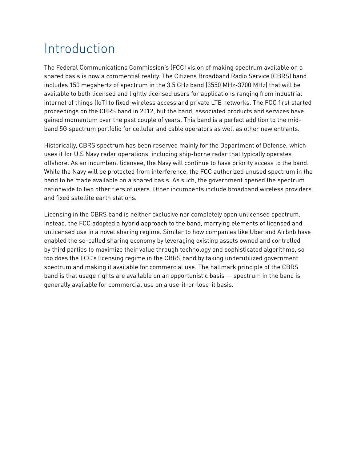## Introduction

The Federal Communications Commission's (FCC) vision of making spectrum available on a shared basis is now a commercial reality. The Citizens Broadband Radio Service (CBRS) band includes 150 megahertz of spectrum in the 3.5 GHz band (3550 MHz-3700 MHz) that will be available to both licensed and lightly licensed users for applications ranging from industrial internet of things (IoT) to fixed-wireless access and private LTE networks. The FCC first started proceedings on the CBRS band in 2012, but the band, associated products and services have gained momentum over the past couple of years. This band is a perfect addition to the midband 5G spectrum portfolio for cellular and cable operators as well as other new entrants.

Historically, CBRS spectrum has been reserved mainly for the Department of Defense, which uses it for U.S Navy radar operations, including ship-borne radar that typically operates offshore. As an incumbent licensee, the Navy will continue to have priority access to the band. While the Navy will be protected from interference, the FCC authorized unused spectrum in the band to be made available on a shared basis. As such, the government opened the spectrum nationwide to two other tiers of users. Other incumbents include broadband wireless providers and fixed satellite earth stations.

Licensing in the CBRS band is neither exclusive nor completely open unlicensed spectrum. Instead, the FCC adopted a hybrid approach to the band, marrying elements of licensed and unlicensed use in a novel sharing regime. Similar to how companies like Uber and Airbnb have enabled the so-called sharing economy by leveraging existing assets owned and controlled by third parties to maximize their value through technology and sophisticated algorithms, so too does the FCC's licensing regime in the CBRS band by taking underutilized government spectrum and making it available for commercial use. The hallmark principle of the CBRS band is that usage rights are available on an opportunistic basis — spectrum in the band is generally available for commercial use on a use-it-or-lose-it basis.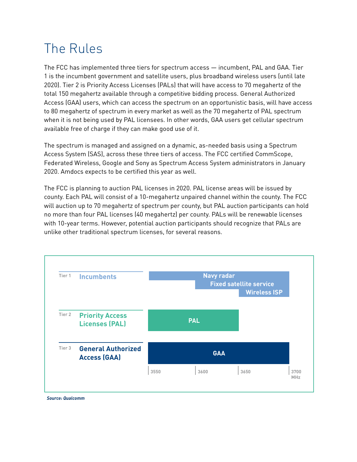## The Rules

The FCC has implemented three tiers for spectrum access — incumbent, PAL and GAA. Tier 1 is the incumbent government and satellite users, plus broadband wireless users (until late 2020). Tier 2 is Priority Access Licenses (PALs) that will have access to 70 megahertz of the total 150 megahertz available through a competitive bidding process. General Authorized Access (GAA) users, which can access the spectrum on an opportunistic basis, will have access to 80 megahertz of spectrum in every market as well as the 70 megahertz of PAL spectrum when it is not being used by PAL licensees. In other words, GAA users get cellular spectrum available free of charge if they can make good use of it.

The spectrum is managed and assigned on a dynamic, as-needed basis using a Spectrum Access System (SAS), across these three tiers of access. The FCC certified CommScope, Federated Wireless, Google and Sony as Spectrum Access System administrators in January 2020. Amdocs expects to be certified this year as well.

The FCC is planning to auction PAL licenses in 2020. PAL license areas will be issued by county. Each PAL will consist of a 10-megahertz unpaired channel within the county. The FCC will auction up to 70 megahertz of spectrum per county, but PAL auction participants can hold no more than four PAL licenses (40 megahertz) per county. PALs will be renewable licenses with 10-year terms. However, potential auction participants should recognize that PALs are unlike other traditional spectrum licenses, for several reasons.

| Tier 1 | <b>Incumbents</b>                                |      | <b>Navy radar</b> | <b>Fixed satellite service</b><br><b>Wireless ISP</b> |      |
|--------|--------------------------------------------------|------|-------------------|-------------------------------------------------------|------|
| Tier 2 | <b>Priority Access</b><br><b>Licenses (PAL)</b>  |      | <b>PAL</b>        |                                                       |      |
| Tier 3 | <b>General Authorized</b><br><b>Access (GAA)</b> |      | <b>GAA</b>        |                                                       |      |
|        |                                                  | 3550 | 3600              | 3650                                                  | 3700 |

*Source: Qualcomm*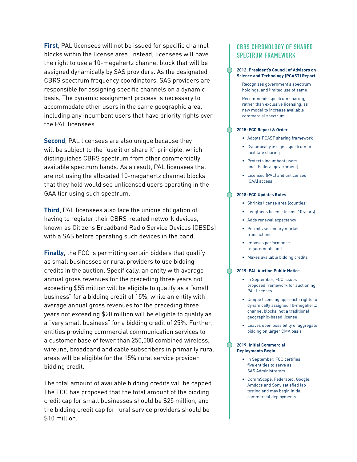**First**, PAL licensees will not be issued for specific channel blocks within the license area. Instead, licensees will have the right to use a 10-megahertz channel block that will be assigned dynamically by SAS providers. As the designated CBRS spectrum frequency coordinators, SAS providers are responsible for assigning specific channels on a dynamic basis. The dynamic assignment process is necessary to accommodate other users in the same geographic area, including any incumbent users that have priority rights over the PAL licensees.

**Second**, PAL licensees are also unique because they will be subject to the "use it or share it" principle, which distinguishes CBRS spectrum from other commercially available spectrum bands. As a result, PAL licensees that are not using the allocated 10-megahertz channel blocks that they hold would see unlicensed users operating in the GAA tier using such spectrum.

**Third**, PAL licensees also face the unique obligation of having to register their CBRS-related network devices, known as Citizens Broadband Radio Service Devices (CBSDs) with a SAS before operating such devices in the band.

**Finally**, the FCC is permitting certain bidders that qualify as small businesses or rural providers to use bidding credits in the auction. Specifically, an entity with average annual gross revenues for the preceding three years not exceeding \$55 million will be eligible to qualify as a "small business" for a bidding credit of 15%, while an entity with average annual gross revenues for the preceding three years not exceeding \$20 million will be eligible to qualify as a "very small business" for a bidding credit of 25%. Further, entities providing commercial communication services to a customer base of fewer than 250,000 combined wireless, wireline, broadband and cable subscribers in primarily rural areas will be eligible for the 15% rural service provider bidding credit.

The total amount of available bidding credits will be capped. The FCC has proposed that the total amount of the bidding credit cap for small businesses should be \$25 million, and the bidding credit cap for rural service providers should be \$10 million.

#### **CBRS CHRONOLOGY OF SHARED SPECTRUM FRAMEWORK**

#### **2012: President's Council of Advisors on Science and Technology (PCAST) Report**

Recognizes government's spectrum holdings, and limited use of same

Recommends spectrum sharing, rather than exclusive licensing, as new model to increase available commercial spectrum

#### **2015: FCC Report & Order**

- Adopts PCAST sharing framework
- Dynamically assigns spectrum to facilitate sharing
- Protects incumbent users (incl. Federal government)
- Licensed (PAL) and unlicensed (GAA) access

#### **2018: FCC Updates Rules**

- Shrinks license area (counties)
- Lengthens license terms (10 years)
- Adds renewal expectancy
- Permits secondary market transactions
- Imposes performance requirements and
- Makes available bidding credits

#### **2019: PAL Auction Public Notice**

- In September, FCC issues proposed framework for auctioning PAL licenses
- Unique licensing approach: rights to dynamically assigned 10-megahertz channel blocks, not a traditional geographic-based license
- Leaves open possibility of aggregate bidding on larger CMA basis

#### **2019: Initial Commercial Deployments Begin**

- In September, FCC certifies five entities to serve as SAS Administrators
- CommScope, Federated, Google, Amdocs and Sony satisfied lab testing and may begin initial commercial deployments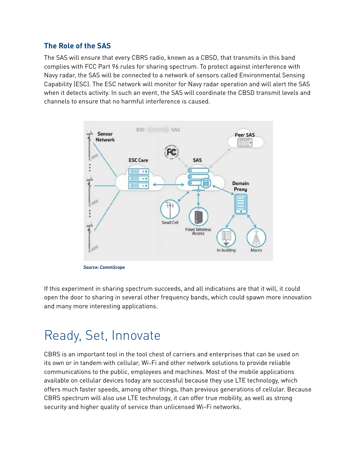#### **The Role of the SAS**

The SAS will ensure that every CBRS radio, known as a CBSD, that transmits in this band complies with FCC Part 96 rules for sharing spectrum. To protect against interference with Navy radar, the SAS will be connected to a network of sensors called Environmental Sensing Capability (ESC). The ESC network will monitor for Navy radar operation and will alert the SAS when it detects activity. In such an event, the SAS will coordinate the CBSD transmit levels and channels to ensure that no harmful interference is caused.



*Source: CommScope*

If this experiment in sharing spectrum succeeds, and all indications are that it will, it could open the door to sharing in several other frequency bands, which could spawn more innovation and many more interesting applications.

### Ready, Set, Innovate

CBRS is an important tool in the tool chest of carriers and enterprises that can be used on its own or in tandem with cellular, Wi-Fi and other network solutions to provide reliable communications to the public, employees and machines. Most of the mobile applications available on cellular devices today are successful because they use LTE technology, which offers much faster speeds, among other things, than previous generations of cellular. Because CBRS spectrum will also use LTE technology, it can offer true mobility, as well as strong security and higher quality of service than unlicensed Wi-Fi networks.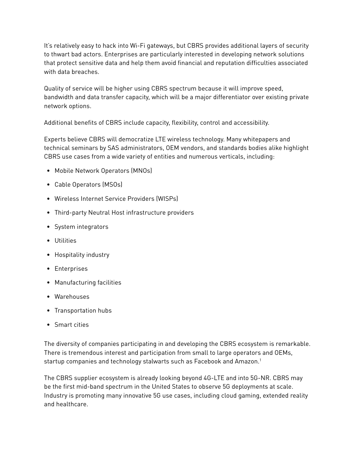It's relatively easy to hack into Wi-Fi gateways, but CBRS provides additional layers of security to thwart bad actors. Enterprises are particularly interested in developing network solutions that protect sensitive data and help them avoid financial and reputation difficulties associated with data breaches.

Quality of service will be higher using CBRS spectrum because it will improve speed, bandwidth and data transfer capacity, which will be a major differentiator over existing private network options.

Additional benefits of CBRS include capacity, flexibility, control and accessibility.

Experts believe CBRS will democratize LTE wireless technology. Many whitepapers and technical seminars by SAS administrators, OEM vendors, and standards bodies alike highlight CBRS use cases from a wide variety of entities and numerous verticals, including:

- Mobile Network Operators (MNOs)
- Cable Operators (MSOs)
- Wireless Internet Service Providers (WISPs)
- Third-party Neutral Host infrastructure providers
- System integrators
- Utilities
- Hospitality industry
- Enterprises
- Manufacturing facilities
- Warehouses
- Transportation hubs
- Smart cities

The diversity of companies participating in and developing the CBRS ecosystem is remarkable. There is tremendous interest and participation from small to large operators and OEMs, startup companies and technology stalwarts such as Facebook and Amazon.<sup>1</sup>

The CBRS supplier ecosystem is already looking beyond 4G-LTE and into 5G-NR. CBRS may be the first mid-band spectrum in the United States to observe 5G deployments at scale. Industry is promoting many innovative 5G use cases, including cloud gaming, extended reality and healthcare.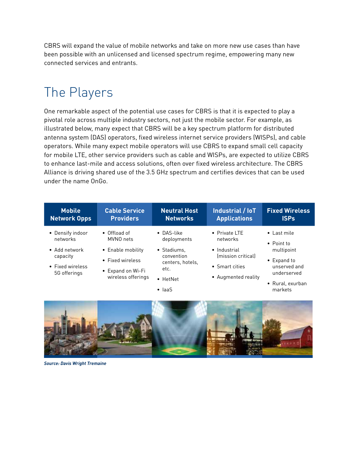CBRS will expand the value of mobile networks and take on more new use cases than have been possible with an unlicensed and licensed spectrum regime, empowering many new connected services and entrants.

## The Players

One remarkable aspect of the potential use cases for CBRS is that it is expected to play a pivotal role across multiple industry sectors, not just the mobile sector. For example, as illustrated below, many expect that CBRS will be a key spectrum platform for distributed antenna system (DAS) operators, fixed wireless internet service providers (WISPs), and cable operators. While many expect mobile operators will use CBRS to expand small cell capacity for mobile LTE, other service providers such as cable and WISPs, are expected to utilize CBRS to enhance last-mile and access solutions, often over fixed wireless architecture. The [CBRS](https://www.cbrsalliance.org/about-the-cbrs-alliance/)  [Alliance](https://www.cbrsalliance.org/about-the-cbrs-alliance/) is driving shared use of the 3.5 GHz spectrum and certifies devices that can be used under the name OnGo.

| <b>Mobile</b>                                                 | <b>Cable Service</b>                                                             | <b>Neutral Host</b>                                               | Industrial / IoT                                                           | <b>Fixed Wireless</b>                                    |
|---------------------------------------------------------------|----------------------------------------------------------------------------------|-------------------------------------------------------------------|----------------------------------------------------------------------------|----------------------------------------------------------|
| <b>Network Opps</b>                                           | <b>Providers</b>                                                                 | <b>Networks</b>                                                   | <b>Applications</b>                                                        | <b>ISPs</b>                                              |
| • Densify indoor                                              | • Offload of                                                                     | $\bullet$ DAS-like                                                | • Private LTE                                                              | $\bullet$ Last mile                                      |
| networks                                                      | MVNO nets                                                                        | deployments                                                       | networks                                                                   | $\bullet$ Point to                                       |
| • Add network<br>capacity<br>• Fixed wireless<br>5G offerings | • Enable mobility<br>• Fixed wireless<br>• Expand on Wi-Fi<br>wireless offerings | • Stadiums.<br>convention<br>centers, hotels,<br>etc.<br>• HetNet | • Industrial<br>Imission critical<br>• Smart cities<br>• Augmented reality | multipoint<br>• Expand to<br>unserved and<br>underserved |
|                                                               |                                                                                  | $\bullet$ laaS                                                    |                                                                            | • Rural, exurban<br>markets                              |



*Source: Davis Wright Tremaine*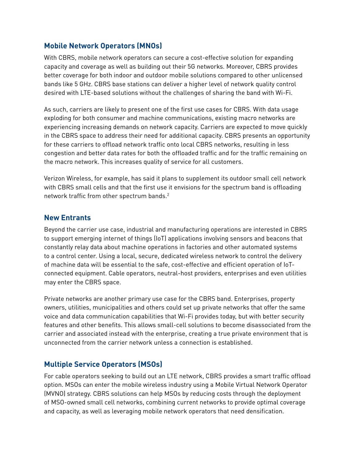### **Mobile Network Operators (MNOs)**

With CBRS, mobile network operators can secure a cost-effective solution for expanding capacity and coverage as well as building out their 5G networks. Moreover, CBRS provides better coverage for both indoor and outdoor mobile solutions compared to other unlicensed bands like 5 GHz. CBRS base stations can deliver a higher level of network quality control desired with LTE-based solutions without the challenges of sharing the band with Wi-Fi.

As such, carriers are likely to present one of the first use cases for CBRS. With data usage exploding for both consumer and machine communications, existing macro networks are experiencing increasing demands on network capacity. Carriers are expected to move quickly in the CBRS space to address their need for additional capacity. CBRS presents an opportunity for these carriers to offload network traffic onto local CBRS networks, resulting in less congestion and better data rates for both the offloaded traffic and for the traffic remaining on the macro network. This increases quality of service for all customers.

Verizon Wireless, for example, has said it plans to supplement its outdoor small cell network with CBRS small cells and that the first use it envisions for the spectrum band is offloading network traffic from other spectrum bands.2

#### **New Entrants**

Beyond the carrier use case, industrial and manufacturing operations are interested in CBRS to support emerging internet of things (IoT) applications involving sensors and beacons that constantly relay data about machine operations in factories and other automated systems to a control center. Using a local, secure, dedicated wireless network to control the delivery of machine data will be essential to the safe, cost-effective and efficient operation of IoTconnected equipment. Cable operators, neutral-host providers, enterprises and even utilities may enter the CBRS space.

Private networks are another primary use case for the CBRS band. Enterprises, property owners, utilities, municipalities and others could set up private networks that offer the same voice and data communication capabilities that Wi-Fi provides today, but with better security features and other benefits. This allows small-cell solutions to become disassociated from the carrier and associated instead with the enterprise, creating a true private environment that is unconnected from the carrier network unless a connection is established.

#### **Multiple Service Operators (MSOs)**

For cable operators seeking to build out an LTE network, CBRS provides a smart traffic offload option. MSOs can enter the mobile wireless industry using a Mobile Virtual Network Operator (MVNO) strategy. CBRS solutions can help MSOs by reducing costs through the deployment of MSO-owned small cell networks, combining current networks to provide optimal coverage and capacity, as well as leveraging mobile network operators that need densification.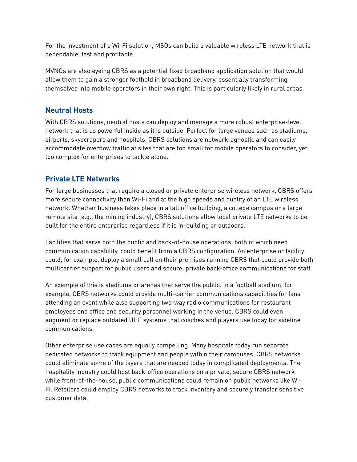For the investment of a Wi-Fi solution, MSOs can build a valuable wireless LTE network that is dependable, fast and profitable.

MVNOs are also eyeing CBRS as a potential fixed broadband application solution that would allow them to gain a stronger foothold in broadband delivery, essentially transforming themselves into mobile operators in their own right. This is particularly likely in rural areas.

### **Neutral Hosts**

With CBRS solutions, neutral hosts can deploy and manage a more robust enterprise-level network that is as powerful inside as it is outside. Perfect for large venues such as stadiums, airports, skyscrapers and hospitals, CBRS solutions are network-agnostic and can easily accommodate overflow traffic at sites that are too small for mobile operators to consider, yet too complex for enterprises to tackle alone.

### **Private LTE Networks**

For large businesses that require a closed or private enterprise wireless network, CBRS offers more secure connectivity than Wi-Fi and at the high speeds and quality of an LTE wireless network. Whether business takes place in a tall office building, a college campus or a large remote site (e.g., the mining industry), CBRS solutions allow local private LTE networks to be built for the entire enterprise regardless if it is in-building or outdoors.

Facilities that serve both the public and back-of-house operations, both of which need communication capability, could benefit from a CBRS configuration. An enterprise or facility could, for example, deploy a small cell on their premises running CBRS that could provide both multicarrier support for public users and secure, private back-office communications for staff.

An example of this is stadiums or arenas that serve the public. In a football stadium, for example, CBRS networks could provide multi-carrier communications capabilities for fans attending an event while also supporting two-way radio communications for restaurant employees and office and security personnel working in the venue. CBRS could even augment or replace outdated UHF systems that coaches and players use today for sideline communications.

Other enterprise use cases are equally compelling. Many hospitals today run separate dedicated networks to track equipment and people within their campuses. CBRS networks could eliminate some of the layers that are needed today in complicated deployments. The hospitality industry could host back-office operations on a private, secure CBRS network while front-of-the-house, public communications could remain on public networks like Wi-Fi. Retailers could employ CBRS networks to track inventory and securely transfer sensitive customer data.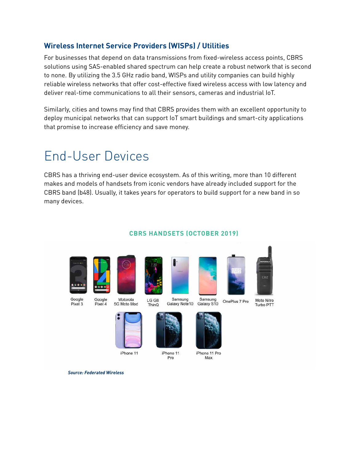### **Wireless Internet Service Providers (WISPs) / Utilities**

For businesses that depend on data transmissions from fixed-wireless access points, CBRS solutions using SAS-enabled shared spectrum can help create a robust network that is second to none. By utilizing the 3.5 GHz radio band, WISPs and utility companies can build highly reliable wireless networks that offer cost-effective fixed wireless access with low latency and deliver real-time communications to all their sensors, cameras and industrial IoT.

Similarly, cities and towns may find that CBRS provides them with an excellent opportunity to deploy municipal networks that can support IoT smart buildings and smart-city applications that promise to increase efficiency and save money.

## End-User Devices

CBRS has a thriving end-user device ecosystem. As of this writing, more than 10 different makes and models of handsets from iconic vendors have already included support for the CBRS band (b48). Usually, it takes years for operators to build support for a new band in so many devices.





**CBRS HANDSETS (OCTOBER 2019)**





Google Pixel 3

*Source: Federated Wireless*



iPhone 11 Pro

Samsung<br>Galaxy S10

OnePlus 7 Pro

iPhone 11 Pro Max

Moto Nitro Turbo PTT





5G Moto Mod ThinQ



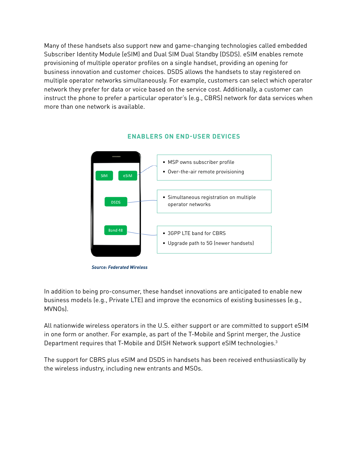Many of these handsets also support new and game-changing technologies called embedded Subscriber Identity Module (eSIM) and Dual SIM Dual Standby (DSDS). eSIM enables remote provisioning of multiple operator profiles on a single handset, providing an opening for business innovation and customer choices. DSDS allows the handsets to stay registered on multiple operator networks simultaneously. For example, customers can select which operator network they prefer for data or voice based on the service cost. Additionally, a customer can instruct the phone to prefer a particular operator's (e.g., CBRS) network for data services when more than one network is available.



#### **ENABLERS ON END-USER DEVICES**

In addition to being pro-consumer, these handset innovations are anticipated to enable new business models (e.g., Private LTE) and improve the economics of existing businesses (e.g., MVNOs).

All nationwide wireless operators in the U.S. either support or are committed to support eSIM in one form or another. For example, as part of the T-Mobile and Sprint merger, the Justice Department requires that T-Mobile and DISH Network support eSIM technologies.<sup>3</sup>

The support for CBRS plus eSIM and DSDS in handsets has been received enthusiastically by the wireless industry, including new entrants and MSOs.

*Source: Federated Wireless*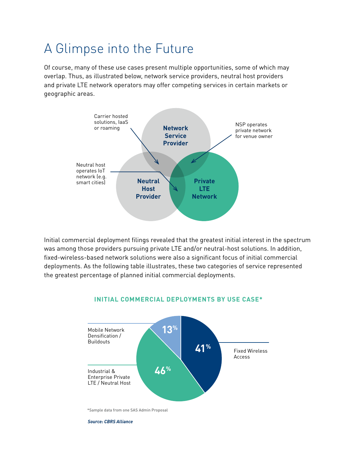## A Glimpse into the Future

Of course, many of these use cases present multiple opportunities, some of which may overlap. Thus, as illustrated below, network service providers, neutral host providers and private LTE network operators may offer competing services in certain markets or geographic areas.



Initial commercial deployment filings revealed that the greatest initial interest in the spectrum was among those providers pursuing private LTE and/or neutral-host solutions. In addition, fixed-wireless-based network solutions were also a significant focus of initial commercial deployments. As the following table illustrates, these two categories of service represented the greatest percentage of planned initial commercial deployments.



#### **INITIAL COMMERCIAL DEPLOYMENTS BY USE CASE\***

*Source: CBRS Alliance*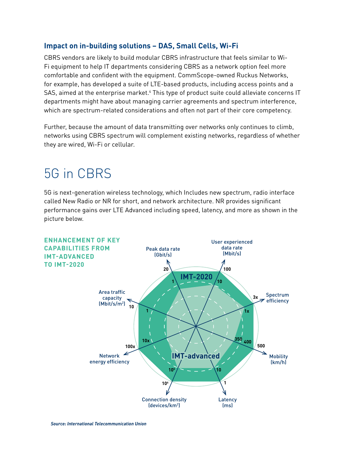#### **Impact on in-building solutions – DAS, Small Cells, Wi-Fi**

CBRS vendors are likely to build modular CBRS infrastructure that feels similar to Wi-Fi equipment to help IT departments considering CBRS as a network option feel more comfortable and confident with the equipment. CommScope-owned Ruckus Networks, for example, has developed a suite of LTE-based products, including access points and a SAS, aimed at the enterprise market.<sup>4</sup> This type of product suite could alleviate concerns IT departments might have about managing carrier agreements and spectrum interference, which are spectrum-related considerations and often not part of their core competency.

Further, because the amount of data transmitting over networks only continues to climb, networks using CBRS spectrum will complement existing networks, regardless of whether they are wired, Wi-Fi or cellular.

### 5G in CBRS

5G is next-generation wireless technology, which Includes new spectrum, radio interface called New Radio or NR for short, and network architecture. NR provides significant performance gains over LTE Advanced including speed, latency, and more as shown in the picture below.

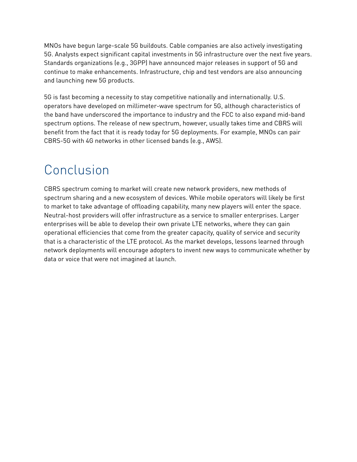MNOs have begun large-scale 5G buildouts. Cable companies are also actively investigating 5G. Analysts expect significant capital investments in 5G infrastructure over the next five years. Standards organizations (e.g., 3GPP) have announced major releases in support of 5G and continue to make enhancements. Infrastructure, chip and test vendors are also announcing and launching new 5G products.

5G is fast becoming a necessity to stay competitive nationally and internationally. U.S. operators have developed on millimeter-wave spectrum for 5G, although characteristics of the band have underscored the importance to industry and the FCC to also expand mid-band spectrum options. The release of new spectrum, however, usually takes time and CBRS will benefit from the fact that it is ready today for 5G deployments. For example, MNOs can pair CBRS-5G with 4G networks in other licensed bands (e.g., AWS).

### Conclusion

CBRS spectrum coming to market will create new network providers, new methods of spectrum sharing and a new ecosystem of devices. While mobile operators will likely be first to market to take advantage of offloading capability, many new players will enter the space. Neutral-host providers will offer infrastructure as a service to smaller enterprises. Larger enterprises will be able to develop their own private LTE networks, where they can gain operational efficiencies that come from the greater capacity, quality of service and security that is a characteristic of the LTE protocol. As the market develops, lessons learned through network deployments will encourage adopters to invent new ways to communicate whether by data or voice that were not imagined at launch.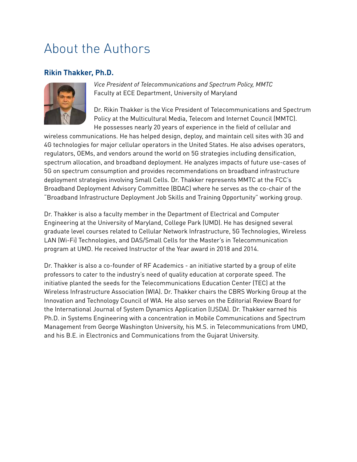### About the Authors

### **Rikin Thakker, Ph.D.**



*Vice President of Telecommunications and Spectrum Policy, MMTC* Faculty at ECE Department, University of Maryland

Dr. Rikin Thakker is the Vice President of Telecommunications and Spectrum Policy at the Multicultural Media, Telecom and Internet Council (MMTC). He possesses nearly 20 years of experience in the field of cellular and

wireless communications. He has helped design, deploy, and maintain cell sites with 3G and 4G technologies for major cellular operators in the United States. He also advises operators, regulators, OEMs, and vendors around the world on 5G strategies including densification, spectrum allocation, and broadband deployment. He analyzes impacts of future use-cases of 5G on spectrum consumption and provides recommendations on broadband infrastructure deployment strategies involving Small Cells. Dr. Thakker represents MMTC at the FCC's Broadband Deployment Advisory Committee (BDAC) where he serves as the co-chair of the "Broadband Infrastructure Deployment Job Skills and Training Opportunity" working group.

Dr. Thakker is also a faculty member in the Department of Electrical and Computer Engineering at the University of Maryland, College Park (UMD). He has designed several graduate level courses related to Cellular Network Infrastructure, 5G Technologies, Wireless LAN (Wi-Fi) Technologies, and DAS/Small Cells for the Master's in Telecommunication program at UMD. He received Instructor of the Year award in 2018 and 2014.

Dr. Thakker is also a co-founder of RF Academics - an initiative started by a group of elite professors to cater to the industry's need of quality education at corporate speed. The initiative planted the seeds for the Telecommunications Education Center (TEC) at the Wireless Infrastructure Association (WIA). Dr. Thakker chairs the CBRS Working Group at the Innovation and Technology Council of WIA. He also serves on the Editorial Review Board for the International Journal of System Dynamics Application (IJSDA). Dr. Thakker earned his Ph.D. in Systems Engineering with a concentration in Mobile Communications and Spectrum Management from George Washington University, his M.S. in Telecommunications from UMD, and his B.E. in Electronics and Communications from the Gujarat University.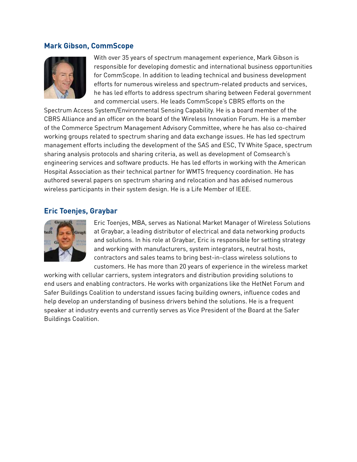#### **Mark Gibson, CommScope**



With over 35 years of spectrum management experience, Mark Gibson is responsible for developing domestic and international business opportunities for CommScope. In addition to leading technical and business development efforts for numerous wireless and spectrum-related products and services, he has led efforts to address spectrum sharing between Federal government and commercial users. He leads CommScope's CBRS efforts on the

Spectrum Access System/Environmental Sensing Capability. He is a board member of the CBRS Alliance and an officer on the board of the Wireless Innovation Forum. He is a member of the Commerce Spectrum Management Advisory Committee, where he has also co-chaired working groups related to spectrum sharing and data exchange issues. He has led spectrum management efforts including the development of the SAS and ESC, TV White Space, spectrum sharing analysis protocols and sharing criteria, as well as development of Comsearch's engineering services and software products. He has led efforts in working with the American Hospital Association as their technical partner for WMTS frequency coordination. He has authored several papers on spectrum sharing and relocation and has advised numerous wireless participants in their system design. He is a Life Member of IEEE.

#### **Eric Toenjes, Graybar**



Eric Toenjes, MBA, serves as National Market Manager of Wireless Solutions at Graybar, a leading distributor of electrical and data networking products and solutions. In his role at Graybar, Eric is responsible for setting strategy and working with manufacturers, system integrators, neutral hosts, contractors and sales teams to bring best-in-class wireless solutions to customers. He has more than 20 years of experience in the wireless market

working with cellular carriers, system integrators and distribution providing solutions to end users and enabling contractors. He works with organizations like the HetNet Forum and Safer Buildings Coalition to understand issues facing building owners, influence codes and help develop an understanding of business drivers behind the solutions. He is a frequent speaker at industry events and currently serves as Vice President of the Board at the Safer Buildings Coalition.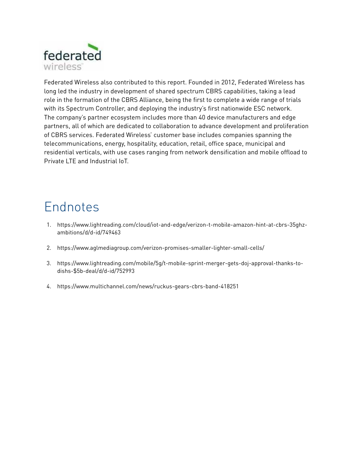

Federated Wireless also contributed to this report. Founded in 2012, Federated Wireless has long led the industry in development of shared spectrum CBRS capabilities, taking a lead role in the formation of the CBRS Alliance, being the first to complete a wide range of trials with its Spectrum Controller, and deploying the industry's first nationwide ESC network. The company's partner ecosystem includes more than 40 device manufacturers and edge partners, all of which are dedicated to collaboration to advance development and proliferation of CBRS services. Federated Wireless' customer base includes companies spanning the telecommunications, energy, hospitality, education, retail, office space, municipal and residential verticals, with use cases ranging from network densification and mobile offload to Private LTE and Industrial IoT.

### Endnotes

- 1. [https://www.lightreading.com/cloud/iot-and-edge/verizon-t-mobile-amazon-hint-at-cbrs-35ghz](https://www.lightreading.com/cloud/iot-and-edge/verizon-t-mobile-amazon-hint-at-cbrs-35ghz-ambitions)[ambitions/d/d-id/749463](https://www.lightreading.com/cloud/iot-and-edge/verizon-t-mobile-amazon-hint-at-cbrs-35ghz-ambitions)
- 2. <https://www.aglmediagroup.com/verizon-promises-smaller-lighter-small-cells/>
- 3. [https://www.lightreading.com/mobile/5g/t-mobile-sprint-merger-gets-doj-approval-thanks-to](https://www.lightreading.com/mobile/5g/t-mobile-sprint-merger-gets-doj-approval-thanks-to-dishs-$5b-)[dishs-\\$5b-deal/d/d-id/752993](https://www.lightreading.com/mobile/5g/t-mobile-sprint-merger-gets-doj-approval-thanks-to-dishs-$5b-)
- 4. <https://www.multichannel.com/news/ruckus-gears-cbrs-band-418251>